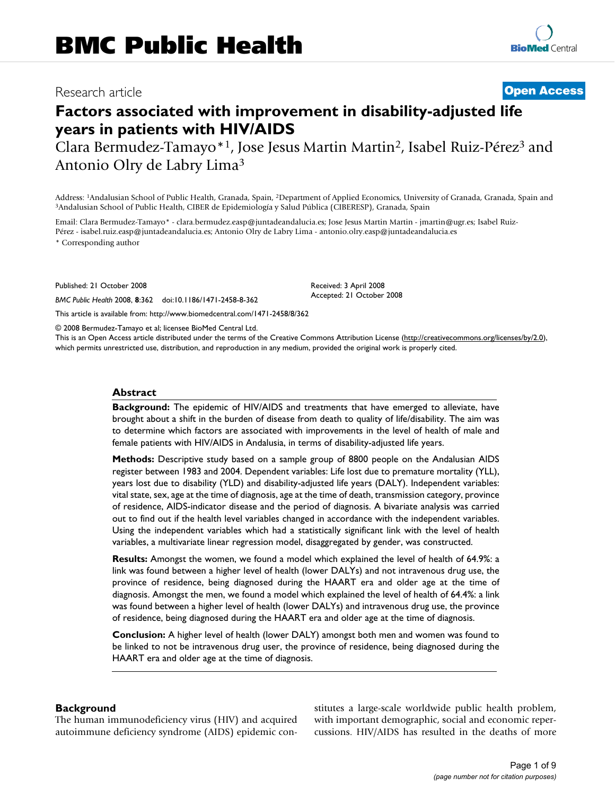## Research article **[Open Access](http://www.biomedcentral.com/info/about/charter/)**

# **Factors associated with improvement in disability-adjusted life years in patients with HIV/AIDS**

Clara Bermudez-Tamayo\*1, Jose Jesus Martin Martin2, Isabel Ruiz-Pérez3 and Antonio Olry de Labry Lima3

Address: <sup>1</sup>Andalusian School of Public Health, Granada, Spain, <sup>2</sup>Department of Applied Economics, University of Granada, Granada, Spain and <sup>3</sup>Andalusian School of Public Health, CIBER de Epidemiología y Salud Pública (C

Email: Clara Bermudez-Tamayo\* - clara.bermudez.easp@juntadeandalucia.es; Jose Jesus Martin Martin - jmartin@ugr.es; Isabel Ruiz-Pérez - isabel.ruiz.easp@juntadeandalucia.es; Antonio Olry de Labry Lima - antonio.olry.easp@juntadeandalucia.es \* Corresponding author

Published: 21 October 2008

*BMC Public Health* 2008, **8**:362 doi:10.1186/1471-2458-8-362

[This article is available from: http://www.biomedcentral.com/1471-2458/8/362](http://www.biomedcentral.com/1471-2458/8/362)

© 2008 Bermudez-Tamayo et al; licensee BioMed Central Ltd.

This is an Open Access article distributed under the terms of the Creative Commons Attribution License [\(http://creativecommons.org/licenses/by/2.0\)](http://creativecommons.org/licenses/by/2.0), which permits unrestricted use, distribution, and reproduction in any medium, provided the original work is properly cited.

Received: 3 April 2008 Accepted: 21 October 2008

#### **Abstract**

**Background:** The epidemic of HIV/AIDS and treatments that have emerged to alleviate, have brought about a shift in the burden of disease from death to quality of life/disability. The aim was to determine which factors are associated with improvements in the level of health of male and female patients with HIV/AIDS in Andalusia, in terms of disability-adjusted life years.

**Methods:** Descriptive study based on a sample group of 8800 people on the Andalusian AIDS register between 1983 and 2004. Dependent variables: Life lost due to premature mortality (YLL), years lost due to disability (YLD) and disability-adjusted life years (DALY). Independent variables: vital state, sex, age at the time of diagnosis, age at the time of death, transmission category, province of residence, AIDS-indicator disease and the period of diagnosis. A bivariate analysis was carried out to find out if the health level variables changed in accordance with the independent variables. Using the independent variables which had a statistically significant link with the level of health variables, a multivariate linear regression model, disaggregated by gender, was constructed.

**Results:** Amongst the women, we found a model which explained the level of health of 64.9%: a link was found between a higher level of health (lower DALYs) and not intravenous drug use, the province of residence, being diagnosed during the HAART era and older age at the time of diagnosis. Amongst the men, we found a model which explained the level of health of 64.4%: a link was found between a higher level of health (lower DALYs) and intravenous drug use, the province of residence, being diagnosed during the HAART era and older age at the time of diagnosis.

**Conclusion:** A higher level of health (lower DALY) amongst both men and women was found to be linked to not be intravenous drug user, the province of residence, being diagnosed during the HAART era and older age at the time of diagnosis.

#### **Background**

The human immunodeficiency virus (HIV) and acquired autoimmune deficiency syndrome (AIDS) epidemic constitutes a large-scale worldwide public health problem, with important demographic, social and economic repercussions. HIV/AIDS has resulted in the deaths of more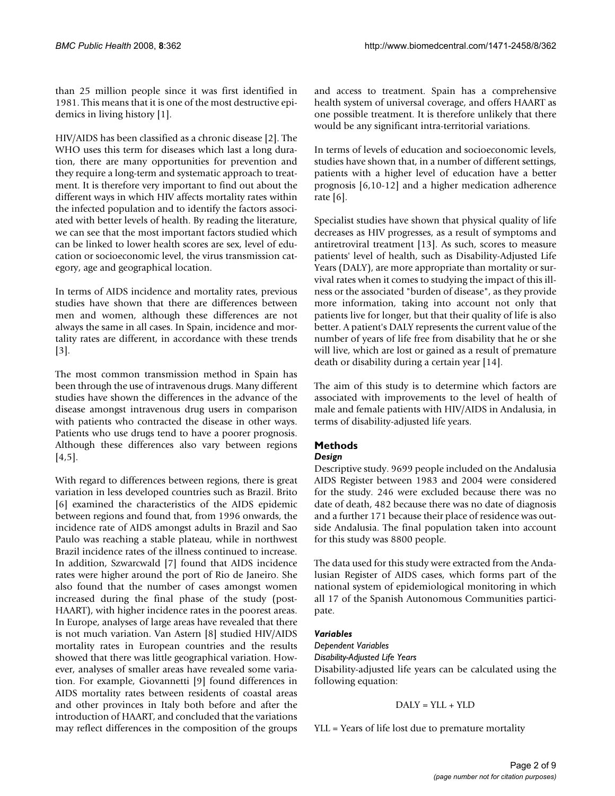than 25 million people since it was first identified in 1981. This means that it is one of the most destructive epidemics in living history [1].

HIV/AIDS has been classified as a chronic disease [2]. The WHO uses this term for diseases which last a long duration, there are many opportunities for prevention and they require a long-term and systematic approach to treatment. It is therefore very important to find out about the different ways in which HIV affects mortality rates within the infected population and to identify the factors associated with better levels of health. By reading the literature, we can see that the most important factors studied which can be linked to lower health scores are sex, level of education or socioeconomic level, the virus transmission category, age and geographical location.

In terms of AIDS incidence and mortality rates, previous studies have shown that there are differences between men and women, although these differences are not always the same in all cases. In Spain, incidence and mortality rates are different, in accordance with these trends [3].

The most common transmission method in Spain has been through the use of intravenous drugs. Many different studies have shown the differences in the advance of the disease amongst intravenous drug users in comparison with patients who contracted the disease in other ways. Patients who use drugs tend to have a poorer prognosis. Although these differences also vary between regions [4,5].

With regard to differences between regions, there is great variation in less developed countries such as Brazil. Brito [6] examined the characteristics of the AIDS epidemic between regions and found that, from 1996 onwards, the incidence rate of AIDS amongst adults in Brazil and Sao Paulo was reaching a stable plateau, while in northwest Brazil incidence rates of the illness continued to increase. In addition, Szwarcwald [7] found that AIDS incidence rates were higher around the port of Rio de Janeiro. She also found that the number of cases amongst women increased during the final phase of the study (post-HAART), with higher incidence rates in the poorest areas. In Europe, analyses of large areas have revealed that there is not much variation. Van Astern [8] studied HIV/AIDS mortality rates in European countries and the results showed that there was little geographical variation. However, analyses of smaller areas have revealed some variation. For example, Giovannetti [9] found differences in AIDS mortality rates between residents of coastal areas and other provinces in Italy both before and after the introduction of HAART, and concluded that the variations may reflect differences in the composition of the groups

and access to treatment. Spain has a comprehensive health system of universal coverage, and offers HAART as one possible treatment. It is therefore unlikely that there would be any significant intra-territorial variations.

In terms of levels of education and socioeconomic levels, studies have shown that, in a number of different settings, patients with a higher level of education have a better prognosis [6,10-12] and a higher medication adherence rate [6].

Specialist studies have shown that physical quality of life decreases as HIV progresses, as a result of symptoms and antiretroviral treatment [13]. As such, scores to measure patients' level of health, such as Disability-Adjusted Life Years (DALY), are more appropriate than mortality or survival rates when it comes to studying the impact of this illness or the associated "burden of disease", as they provide more information, taking into account not only that patients live for longer, but that their quality of life is also better. A patient's DALY represents the current value of the number of years of life free from disability that he or she will live, which are lost or gained as a result of premature death or disability during a certain year [14].

The aim of this study is to determine which factors are associated with improvements to the level of health of male and female patients with HIV/AIDS in Andalusia, in terms of disability-adjusted life years.

# **Methods**

#### *Design*

Descriptive study. 9699 people included on the Andalusia AIDS Register between 1983 and 2004 were considered for the study. 246 were excluded because there was no date of death, 482 because there was no date of diagnosis and a further 171 because their place of residence was outside Andalusia. The final population taken into account for this study was 8800 people.

The data used for this study were extracted from the Andalusian Register of AIDS cases, which forms part of the national system of epidemiological monitoring in which all 17 of the Spanish Autonomous Communities participate.

#### *Variables*

*Dependent Variables Disability-Adjusted Life Years* Disability-adjusted life years can be calculated using the following equation:

### DALY = YLL + YLD

YLL = Years of life lost due to premature mortality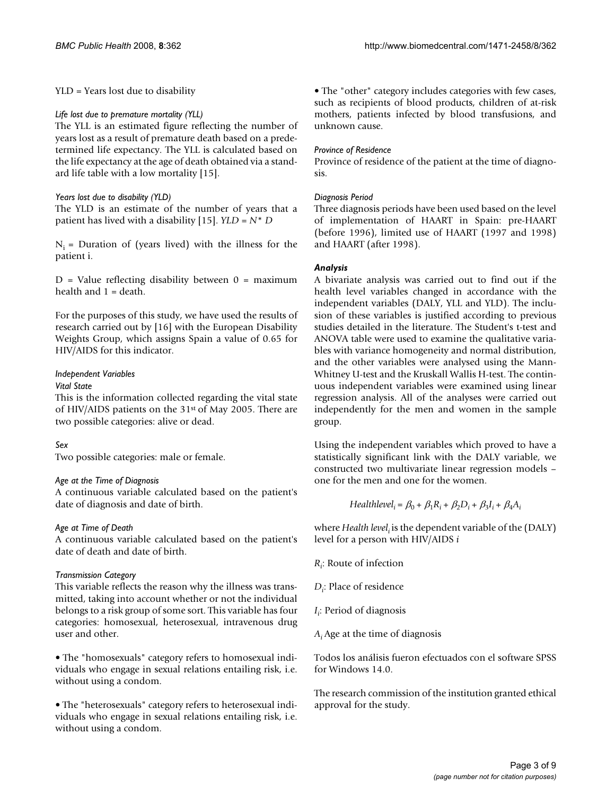YLD = Years lost due to disability

#### *Life lost due to premature mortality (YLL)*

The YLL is an estimated figure reflecting the number of years lost as a result of premature death based on a predetermined life expectancy. The YLL is calculated based on the life expectancy at the age of death obtained via a standard life table with a low mortality [15].

#### *Years lost due to disability (YLD)*

The YLD is an estimate of the number of years that a patient has lived with a disability [15].  $YLD = N^* D$ 

 $N_i$  = Duration of (years lived) with the illness for the patient i.

 $D =$  Value reflecting disability between  $0 =$  maximum health and  $1 =$  death.

For the purposes of this study, we have used the results of research carried out by [16] with the European Disability Weights Group, which assigns Spain a value of 0.65 for HIV/AIDS for this indicator.

#### *Independent Variables*

#### *Vital State*

This is the information collected regarding the vital state of HIV/AIDS patients on the 31st of May 2005. There are two possible categories: alive or dead.

#### *Sex*

Two possible categories: male or female.

#### *Age at the Time of Diagnosis*

A continuous variable calculated based on the patient's date of diagnosis and date of birth.

#### *Age at Time of Death*

A continuous variable calculated based on the patient's date of death and date of birth.

#### *Transmission Category*

This variable reflects the reason why the illness was transmitted, taking into account whether or not the individual belongs to a risk group of some sort. This variable has four categories: homosexual, heterosexual, intravenous drug user and other.

• The "homosexuals" category refers to homosexual individuals who engage in sexual relations entailing risk, i.e. without using a condom.

• The "heterosexuals" category refers to heterosexual individuals who engage in sexual relations entailing risk, i.e. without using a condom.

• The "other" category includes categories with few cases, such as recipients of blood products, children of at-risk mothers, patients infected by blood transfusions, and unknown cause.

#### *Province of Residence*

Province of residence of the patient at the time of diagnosis.

#### *Diagnosis Period*

Three diagnosis periods have been used based on the level of implementation of HAART in Spain: pre-HAART (before 1996), limited use of HAART (1997 and 1998) and HAART (after 1998).

#### *Analysis*

A bivariate analysis was carried out to find out if the health level variables changed in accordance with the independent variables (DALY, YLL and YLD). The inclusion of these variables is justified according to previous studies detailed in the literature. The Student's t-test and ANOVA table were used to examine the qualitative variables with variance homogeneity and normal distribution, and the other variables were analysed using the Mann-Whitney U-test and the Kruskall Wallis H-test. The continuous independent variables were examined using linear regression analysis. All of the analyses were carried out independently for the men and women in the sample group.

Using the independent variables which proved to have a statistically significant link with the DALY variable, we constructed two multivariate linear regression models – one for the men and one for the women.

$$
Healthlevel_i = \beta_0 + \beta_1 R_i + \beta_2 D_i + \beta_3 I_i + \beta_4 A_i
$$

where *Health level<sub>i</sub>* is the dependent variable of the (DALY) level for a person with HIV/AIDS *i*

- *Ri* : Route of infection
- *Di* : Place of residence
- *Ii* : Period of diagnosis
- *Ai* Age at the time of diagnosis

Todos los análisis fueron efectuados con el software SPSS for Windows 14.0.

The research commission of the institution granted ethical approval for the study.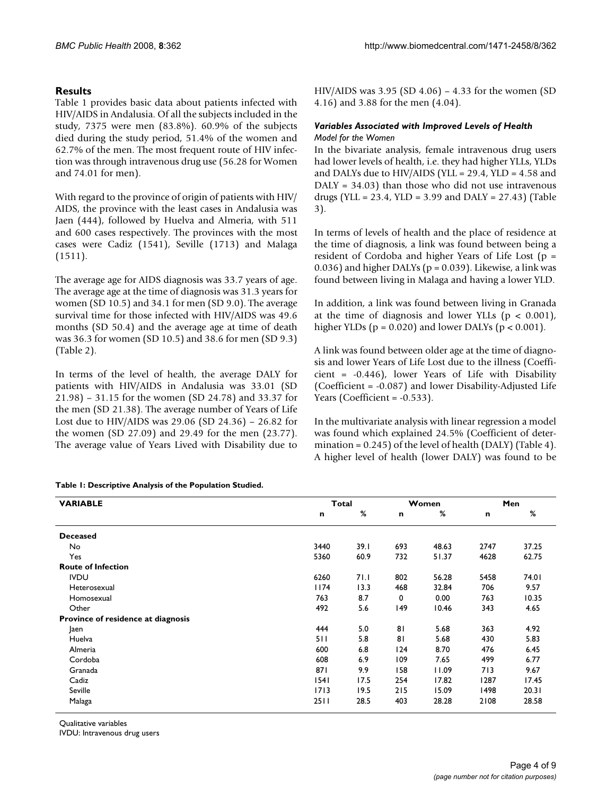#### **Results**

Table 1 provides basic data about patients infected with HIV/AIDS in Andalusia. Of all the subjects included in the study, 7375 were men (83.8%). 60.9% of the subjects died during the study period, 51.4% of the women and 62.7% of the men. The most frequent route of HIV infection was through intravenous drug use (56.28 for Women and 74.01 for men).

With regard to the province of origin of patients with HIV/ AIDS, the province with the least cases in Andalusia was Jaen (444), followed by Huelva and Almeria, with 511 and 600 cases respectively. The provinces with the most cases were Cadiz (1541), Seville (1713) and Malaga (1511).

The average age for AIDS diagnosis was 33.7 years of age. The average age at the time of diagnosis was 31.3 years for women (SD 10.5) and 34.1 for men (SD 9.0). The average survival time for those infected with HIV/AIDS was 49.6 months (SD 50.4) and the average age at time of death was 36.3 for women (SD 10.5) and 38.6 for men (SD 9.3) (Table 2).

In terms of the level of health, the average DALY for patients with HIV/AIDS in Andalusia was 33.01 (SD 21.98) – 31.15 for the women (SD 24.78) and 33.37 for the men (SD 21.38). The average number of Years of Life Lost due to HIV/AIDS was 29.06 (SD 24.36) – 26.82 for the women (SD 27.09) and 29.49 for the men (23.77). The average value of Years Lived with Disability due to

#### **Table 1: Descriptive Analysis of the Population Studied.**

HIV/AIDS was 3.95 (SD 4.06) – 4.33 for the women (SD 4.16) and 3.88 for the men (4.04).

#### *Variables Associated with Improved Levels of Health Model for the Women*

In the bivariate analysis, female intravenous drug users had lower levels of health, i.e. they had higher YLLs, YLDs and DALYs due to HIV/AIDS (YLL = 29.4, YLD =  $4.58$  and  $DALY = 34.03$ ) than those who did not use intravenous drugs (YLL = 23.4, YLD = 3.99 and DALY = 27.43) (Table 3).

In terms of levels of health and the place of residence at the time of diagnosis, a link was found between being a resident of Cordoba and higher Years of Life Lost (p = 0.036) and higher DALYs ( $p = 0.039$ ). Likewise, a link was found between living in Malaga and having a lower YLD.

In addition, a link was found between living in Granada at the time of diagnosis and lower YLLs  $(p < 0.001)$ , higher YLDs ( $p = 0.020$ ) and lower DALYs ( $p < 0.001$ ).

A link was found between older age at the time of diagnosis and lower Years of Life Lost due to the illness (Coefficient = -0.446), lower Years of Life with Disability (Coefficient = -0.087) and lower Disability-Adjusted Life Years (Coefficient = -0.533).

In the multivariate analysis with linear regression a model was found which explained 24.5% (Coefficient of determination = 0.245) of the level of health (DALY) (Table 4). A higher level of health (lower DALY) was found to be

| <b>VARIABLE</b>                    | Total       |       | Women |       | Men  |       |
|------------------------------------|-------------|-------|-------|-------|------|-------|
|                                    | $\mathbf n$ | %     | n     | %     | n    | %     |
| <b>Deceased</b>                    |             |       |       |       |      |       |
| No                                 | 3440        | 39. I | 693   | 48.63 | 2747 | 37.25 |
| Yes                                | 5360        | 60.9  | 732   | 51.37 | 4628 | 62.75 |
| <b>Route of Infection</b>          |             |       |       |       |      |       |
| <b>IVDU</b>                        | 6260        | 71.1  | 802   | 56.28 | 5458 | 74.01 |
| Heterosexual                       | 1174        | 13.3  | 468   | 32.84 | 706  | 9.57  |
| Homosexual                         | 763         | 8.7   | 0     | 0.00  | 763  | 10.35 |
| Other                              | 492         | 5.6   | 149   | 10.46 | 343  | 4.65  |
| Province of residence at diagnosis |             |       |       |       |      |       |
| <b>Jaen</b>                        | 444         | 5.0   | 81    | 5.68  | 363  | 4.92  |
| Huelva                             | 511         | 5.8   | 81    | 5.68  | 430  | 5.83  |
| Almeria                            | 600         | 6.8   | 124   | 8.70  | 476  | 6.45  |
| Cordoba                            | 608         | 6.9   | 109   | 7.65  | 499  | 6.77  |
| Granada                            | 871         | 9.9   | 158   | 11.09 | 713  | 9.67  |
| Cadiz                              | 1541        | 17.5  | 254   | 17.82 | 1287 | 17.45 |
| Seville                            | 1713        | 19.5  | 215   | 15.09 | 1498 | 20.31 |
| Malaga                             | 2511        | 28.5  | 403   | 28.28 | 2108 | 28.58 |

Qualitative variables

IVDU: Intravenous drug users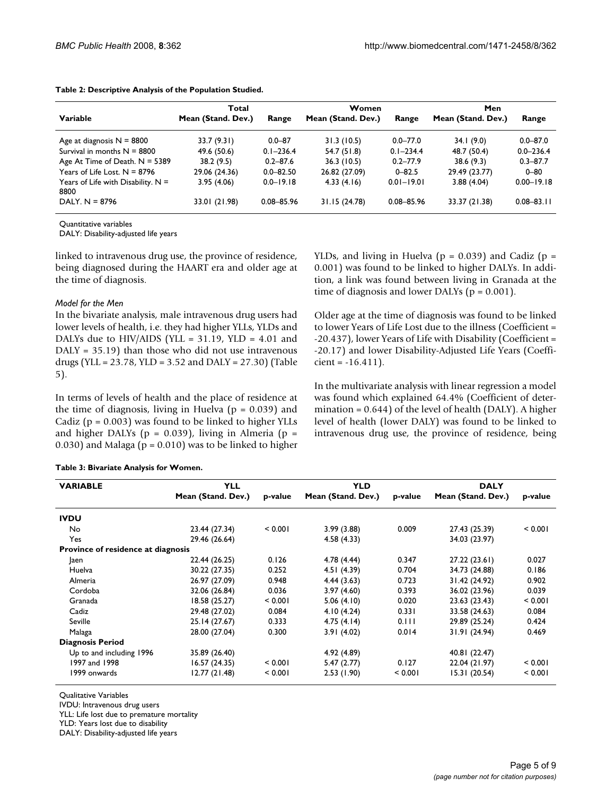|                                              | Total              |                | Women              |                | Men                |                |
|----------------------------------------------|--------------------|----------------|--------------------|----------------|--------------------|----------------|
| Variable                                     | Mean (Stand. Dev.) | Range          | Mean (Stand. Dev.) | Range          | Mean (Stand. Dev.) | Range          |
| Age at diagnosis $N = 8800$                  | 33.7(9.31)         | $0.0 - 87$     | 31.3(10.5)         | $0.0 - 77.0$   | 34.1(9.0)          | $0.0 - 87.0$   |
| Survival in months $N = 8800$                | 49.6 (50.6)        | $0.1 - 236.4$  | 54.7 (51.8)        | $0.1 - 234.4$  | 48.7 (50.4)        | $0.0 - 236.4$  |
| Age At Time of Death. $N = 5389$             | 38.2(9.5)          | $0.2 - 87.6$   | 36.3(10.5)         | $0.2 - 77.9$   | 38.6(9.3)          | $0.3 - 87.7$   |
| Years of Life Lost. $N = 8796$               | 29.06 (24.36)      | $0.0 - 82.50$  | 26.82 (27.09)      | $0 - 82.5$     | 29.49 (23.77)      | $0 - 80$       |
| Years of Life with Disability. $N =$<br>8800 | 3.95(4.06)         | $0.0 - 19.18$  | 4.33(4.16)         | $0.01 - 19.01$ | 3.88(4.04)         | $0.00 - 19.18$ |
| DALY, $N = 8796$                             | 33.01 (21.98)      | $0.08 - 85.96$ | 31.15(24.78)       | $0.08 - 85.96$ | 33.37 (21.38)      | $0.08 - 83.11$ |

#### **Table 2: Descriptive Analysis of the Population Studied.**

Quantitative variables

DALY: Disability-adjusted life years

linked to intravenous drug use, the province of residence, being diagnosed during the HAART era and older age at the time of diagnosis.

#### *Model for the Men*

In the bivariate analysis, male intravenous drug users had lower levels of health, i.e. they had higher YLLs, YLDs and DALYs due to HIV/AIDS (YLL = 31.19, YLD = 4.01 and DALY = 35.19) than those who did not use intravenous drugs (YLL = 23.78, YLD = 3.52 and DALY = 27.30) (Table 5).

In terms of levels of health and the place of residence at the time of diagnosis, living in Huelva ( $p = 0.039$ ) and Cadiz ( $p = 0.003$ ) was found to be linked to higher YLLs and higher DALYs ( $p = 0.039$ ), living in Almeria ( $p =$ 0.030) and Malaga ( $p = 0.010$ ) was to be linked to higher YLDs, and living in Huelva ( $p = 0.039$ ) and Cadiz ( $p =$ 0.001) was found to be linked to higher DALYs. In addition, a link was found between living in Granada at the time of diagnosis and lower DALYs ( $p = 0.001$ ).

Older age at the time of diagnosis was found to be linked to lower Years of Life Lost due to the illness (Coefficient = -20.437), lower Years of Life with Disability (Coefficient = -20.17) and lower Disability-Adjusted Life Years (Coefficient = -16.411).

In the multivariate analysis with linear regression a model was found which explained 64.4% (Coefficient of determination = 0.644) of the level of health (DALY). A higher level of health (lower DALY) was found to be linked to intravenous drug use, the province of residence, being

| <b>VARIABLE</b>                    | <b>YLL</b>         |         | <b>YLD</b>         |         | <b>DALY</b>        |         |
|------------------------------------|--------------------|---------|--------------------|---------|--------------------|---------|
|                                    | Mean (Stand. Dev.) | p-value | Mean (Stand. Dev.) | p-value | Mean (Stand. Dev.) | p-value |
| <b>IVDU</b>                        |                    |         |                    |         |                    |         |
| No                                 | 23.44 (27.34)      | < 0.001 | 3.99(3.88)         | 0.009   | 27.43 (25.39)      | < 0.001 |
| Yes                                | 29.46 (26.64)      |         | 4.58(4.33)         |         | 34.03 (23.97)      |         |
| Province of residence at diagnosis |                    |         |                    |         |                    |         |
| laen                               | 22.44 (26.25)      | 0.126   | 4.78 (4.44)        | 0.347   | 27.22 (23.61)      | 0.027   |
| Huelva                             | 30.22 (27.35)      | 0.252   | 4.51(4.39)         | 0.704   | 34.73 (24.88)      | 0.186   |
| Almeria                            | 26.97 (27.09)      | 0.948   | 4.44(3.63)         | 0.723   | 31.42 (24.92)      | 0.902   |
| Cordoba                            | 32.06 (26.84)      | 0.036   | 3.97(4.60)         | 0.393   | 36.02 (23.96)      | 0.039   |
| Granada                            | 18.58 (25.27)      | < 0.001 | 5.06(4.10)         | 0.020   | 23.63 (23.43)      | < 0.001 |
| Cadiz                              | 29.48 (27.02)      | 0.084   | 4.10(4.24)         | 0.331   | 33.58 (24.63)      | 0.084   |
| Seville                            | 25.14 (27.67)      | 0.333   | 4.75(4.14)         | 0.111   | 29.89 (25.24)      | 0.424   |
| Malaga                             | 28.00 (27.04)      | 0.300   | 3.91 (4.02)        | 0.014   | 31.91 (24.94)      | 0.469   |
| <b>Diagnosis Period</b>            |                    |         |                    |         |                    |         |
| Up to and including 1996           | 35.89 (26.40)      |         | 4.92 (4.89)        |         | 40.81 (22.47)      |         |
| 1997 and 1998                      | 16.57(24.35)       | < 0.001 | 5.47(2.77)         | 0.127   | 22.04 (21.97)      | < 0.001 |
| 1999 onwards                       | 12.77 (21.48)      | < 0.001 | 2.53(1.90)         | < 0.001 | 15.31 (20.54)      | < 0.001 |

Qualitative Variables

IVDU: Intravenous drug users

YLL: Life lost due to premature mortality

YLD: Years lost due to disability

DALY: Disability-adjusted life years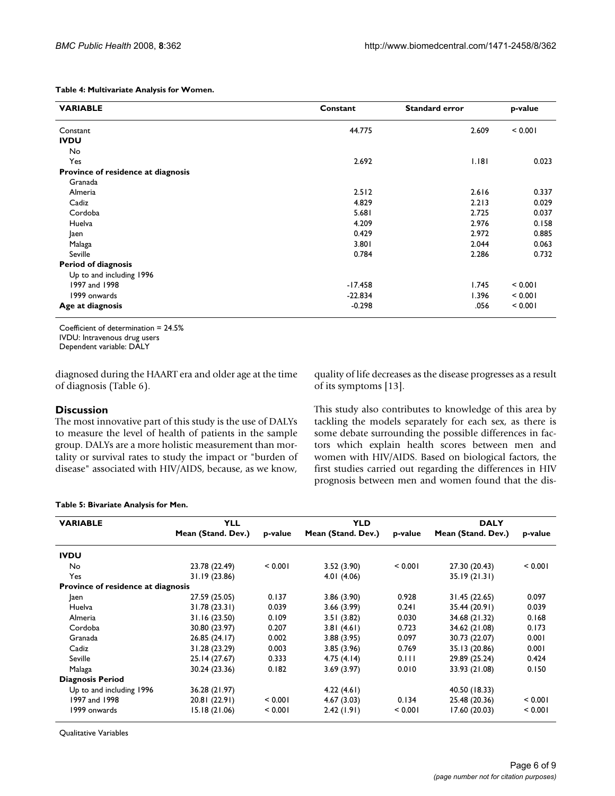**Table 4: Multivariate Analysis for Women.** 

| <b>VARIABLE</b>                    | Constant  | <b>Standard error</b> | p-value |
|------------------------------------|-----------|-----------------------|---------|
| Constant                           | 44.775    | 2.609                 | < 0.001 |
| <b>IVDU</b>                        |           |                       |         |
| No                                 |           |                       |         |
| Yes                                | 2.692     | 1.181                 | 0.023   |
| Province of residence at diagnosis |           |                       |         |
| Granada                            |           |                       |         |
| Almeria                            | 2.512     | 2.616                 | 0.337   |
| Cadiz                              | 4.829     | 2.213                 | 0.029   |
| Cordoba                            | 5.681     | 2.725                 | 0.037   |
| Huelva                             | 4.209     | 2.976                 | 0.158   |
| Jaen                               | 0.429     | 2.972                 | 0.885   |
| Malaga                             | 3.801     | 2.044                 | 0.063   |
| Seville                            | 0.784     | 2.286                 | 0.732   |
| <b>Period of diagnosis</b>         |           |                       |         |
| Up to and including 1996           |           |                       |         |
| 1997 and 1998                      | $-17.458$ | 1.745                 | < 0.001 |
| 1999 onwards                       | $-22.834$ | 1.396                 | < 0.001 |
| Age at diagnosis                   | $-0.298$  | .056                  | < 0.001 |

Coefficient of determination = 24.5% IVDU: Intravenous drug users Dependent variable: DALY

diagnosed during the HAART era and older age at the time of diagnosis (Table 6).

#### **Discussion**

The most innovative part of this study is the use of DALYs to measure the level of health of patients in the sample group. DALYs are a more holistic measurement than mortality or survival rates to study the impact or "burden of disease" associated with HIV/AIDS, because, as we know, quality of life decreases as the disease progresses as a result of its symptoms [13].

This study also contributes to knowledge of this area by tackling the models separately for each sex, as there is some debate surrounding the possible differences in factors which explain health scores between men and women with HIV/AIDS. Based on biological factors, the first studies carried out regarding the differences in HIV prognosis between men and women found that the dis-

#### **Table 5: Bivariate Analysis for Men.**

| <b>VARIABLE</b>                    | <b>YLL</b>         |         | <b>YLD</b>         |         | <b>DALY</b>        |         |
|------------------------------------|--------------------|---------|--------------------|---------|--------------------|---------|
|                                    | Mean (Stand. Dev.) | p-value | Mean (Stand. Dev.) | p-value | Mean (Stand. Dev.) | p-value |
| <b>IVDU</b>                        |                    |         |                    |         |                    |         |
| No                                 | 23.78 (22.49)      | < 0.001 | 3.52(3.90)         | < 0.001 | 27.30 (20.43)      | < 0.001 |
| Yes                                | 31.19 (23.86)      |         | 4.01 (4.06)        |         | 35.19 (21.31)      |         |
| Province of residence at diagnosis |                    |         |                    |         |                    |         |
| Jaen                               | 27.59 (25.05)      | 0.137   | 3.86(3.90)         | 0.928   | 31.45 (22.65)      | 0.097   |
| Huelva                             | 31.78(23.31)       | 0.039   | 3.66(3.99)         | 0.241   | 35.44 (20.91)      | 0.039   |
| Almeria                            | 31.16 (23.50)      | 0.109   | 3.51(3.82)         | 0.030   | 34.68 (21.32)      | 0.168   |
| Cordoba                            | 30.80 (23.97)      | 0.207   | 3.81(4.61)         | 0.723   | 34.62 (21.08)      | 0.173   |
| Granada                            | 26.85 (24.17)      | 0.002   | 3.88(3.95)         | 0.097   | 30.73 (22.07)      | 0.001   |
| Cadiz                              | 31.28 (23.29)      | 0.003   | 3.85(3.96)         | 0.769   | 35.13 (20.86)      | 0.001   |
| Seville                            | 25.14 (27.67)      | 0.333   | 4.75(4.14)         | 0.111   | 29.89 (25.24)      | 0.424   |
| Malaga                             | 30.24 (23.36)      | 0.182   | 3.69(3.97)         | 0.010   | 33.93 (21.08)      | 0.150   |
| <b>Diagnosis Period</b>            |                    |         |                    |         |                    |         |
| Up to and including 1996           | 36.28 (21.97)      |         | 4.22(4.61)         |         | 40.50 (18.33)      |         |
| 1997 and 1998                      | 20.81 (22.91)      | < 0.001 | 4.67(3.03)         | 0.134   | 25.48 (20.36)      | < 0.001 |
| 1999 onwards                       | 15.18 (21.06)      | < 0.001 | 2.42(1.91)         | < 0.001 | 17.60 (20.03)      | < 0.001 |

Qualitative Variables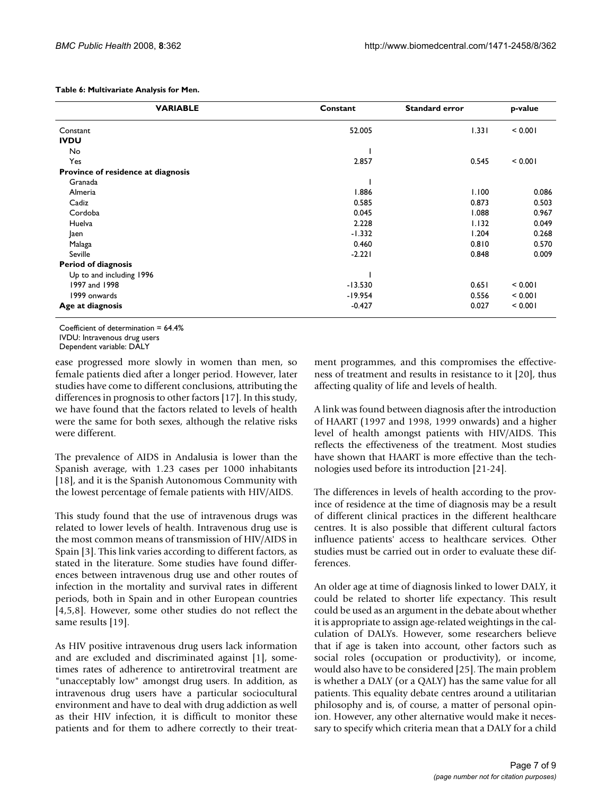**Table 6: Multivariate Analysis for Men.** 

| <b>VARIABLE</b>                    | Constant  | <b>Standard error</b> | p-value |
|------------------------------------|-----------|-----------------------|---------|
| Constant                           | 52.005    | 1.331                 | < 0.001 |
| <b>IVDU</b>                        |           |                       |         |
| No                                 |           |                       |         |
| Yes                                | 2.857     | 0.545                 | < 0.001 |
| Province of residence at diagnosis |           |                       |         |
| Granada                            |           |                       |         |
| Almeria                            | 1.886     | 1.100                 | 0.086   |
| Cadiz                              | 0.585     | 0.873                 | 0.503   |
| Cordoba                            | 0.045     | 1.088                 | 0.967   |
| Huelva                             | 2.228     | 1.132                 | 0.049   |
| Jaen                               | $-1.332$  | 1.204                 | 0.268   |
| Malaga                             | 0.460     | 0.810                 | 0.570   |
| Seville                            | $-2.221$  | 0.848                 | 0.009   |
| <b>Period of diagnosis</b>         |           |                       |         |
| Up to and including 1996           |           |                       |         |
| 1997 and 1998                      | $-13.530$ | 0.651                 | < 0.001 |
| 1999 onwards                       | $-19.954$ | 0.556                 | < 0.001 |
| Age at diagnosis                   | $-0.427$  | 0.027                 | < 0.001 |

Coefficient of determination = 64.4% IVDU: Intravenous drug users Dependent variable: DALY

ease progressed more slowly in women than men, so female patients died after a longer period. However, later studies have come to different conclusions, attributing the differences in prognosis to other factors [17]. In this study, we have found that the factors related to levels of health were the same for both sexes, although the relative risks were different.

The prevalence of AIDS in Andalusia is lower than the Spanish average, with 1.23 cases per 1000 inhabitants [18], and it is the Spanish Autonomous Community with the lowest percentage of female patients with HIV/AIDS.

This study found that the use of intravenous drugs was related to lower levels of health. Intravenous drug use is the most common means of transmission of HIV/AIDS in Spain [3]. This link varies according to different factors, as stated in the literature. Some studies have found differences between intravenous drug use and other routes of infection in the mortality and survival rates in different periods, both in Spain and in other European countries [4,5,8]. However, some other studies do not reflect the same results [19].

As HIV positive intravenous drug users lack information and are excluded and discriminated against [1], sometimes rates of adherence to antiretroviral treatment are "unacceptably low" amongst drug users. In addition, as intravenous drug users have a particular sociocultural environment and have to deal with drug addiction as well as their HIV infection, it is difficult to monitor these patients and for them to adhere correctly to their treatment programmes, and this compromises the effectiveness of treatment and results in resistance to it [20], thus affecting quality of life and levels of health.

A link was found between diagnosis after the introduction of HAART (1997 and 1998, 1999 onwards) and a higher level of health amongst patients with HIV/AIDS. This reflects the effectiveness of the treatment. Most studies have shown that HAART is more effective than the technologies used before its introduction [21-24].

The differences in levels of health according to the province of residence at the time of diagnosis may be a result of different clinical practices in the different healthcare centres. It is also possible that different cultural factors influence patients' access to healthcare services. Other studies must be carried out in order to evaluate these differences.

An older age at time of diagnosis linked to lower DALY, it could be related to shorter life expectancy. This result could be used as an argument in the debate about whether it is appropriate to assign age-related weightings in the calculation of DALYs. However, some researchers believe that if age is taken into account, other factors such as social roles (occupation or productivity), or income, would also have to be considered [25]. The main problem is whether a DALY (or a QALY) has the same value for all patients. This equality debate centres around a utilitarian philosophy and is, of course, a matter of personal opinion. However, any other alternative would make it necessary to specify which criteria mean that a DALY for a child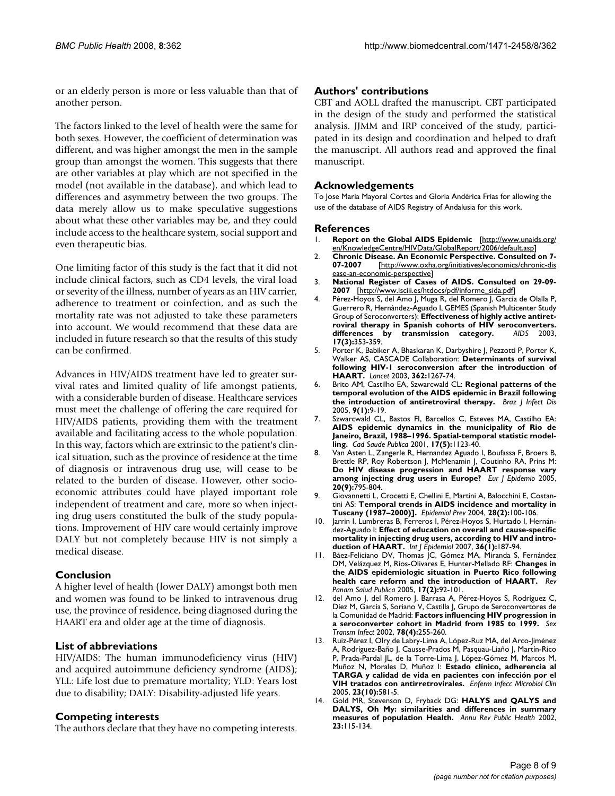or an elderly person is more or less valuable than that of another person.

The factors linked to the level of health were the same for both sexes. However, the coefficient of determination was different, and was higher amongst the men in the sample group than amongst the women. This suggests that there are other variables at play which are not specified in the model (not available in the database), and which lead to differences and asymmetry between the two groups. The data merely allow us to make speculative suggestions about what these other variables may be, and they could include access to the healthcare system, social support and even therapeutic bias.

One limiting factor of this study is the fact that it did not include clinical factors, such as CD4 levels, the viral load or severity of the illness, number of years as an HIV carrier, adherence to treatment or coinfection, and as such the mortality rate was not adjusted to take these parameters into account. We would recommend that these data are included in future research so that the results of this study can be confirmed.

Advances in HIV/AIDS treatment have led to greater survival rates and limited quality of life amongst patients, with a considerable burden of disease. Healthcare services must meet the challenge of offering the care required for HIV/AIDS patients, providing them with the treatment available and facilitating access to the whole population. In this way, factors which are extrinsic to the patient's clinical situation, such as the province of residence at the time of diagnosis or intravenous drug use, will cease to be related to the burden of disease. However, other socioeconomic attributes could have played important role independent of treatment and care, more so when injecting drug users constituted the bulk of the study populations. Improvement of HIV care would certainly improve DALY but not completely because HIV is not simply a medical disease.

#### **Conclusion**

A higher level of health (lower DALY) amongst both men and women was found to be linked to intravenous drug use, the province of residence, being diagnosed during the HAART era and older age at the time of diagnosis.

#### **List of abbreviations**

HIV/AIDS: The human immunodeficiency virus (HIV) and acquired autoimmune deficiency syndrome (AIDS); YLL: Life lost due to premature mortality; YLD: Years lost due to disability; DALY: Disability-adjusted life years.

#### **Competing interests**

The authors declare that they have no competing interests.

#### **Authors' contributions**

CBT and AOLL drafted the manuscript. CBT participated in the design of the study and performed the statistical analysis. JJMM and IRP conceived of the study, participated in its design and coordination and helped to draft the manuscript. All authors read and approved the final manuscript.

#### **Acknowledgements**

To Jose Maria Mayoral Cortes and Gloria Andérica Frias for allowing the use of the database of AIDS Registry of Andalusia for this work.

#### **References**

- 1. **Report on the Global AIDS Epidemic** [\[http://www.unaids.org/](http://www.unaids.org/en/KnowledgeCentre/HIVData/GlobalReport/2006/default.asp) [en/KnowledgeCentre/HIVData/GlobalReport/2006/default.asp\]](http://www.unaids.org/en/KnowledgeCentre/HIVData/GlobalReport/2006/default.asp)
- 2. **Chronic Disease. An Economic Perspective. Consulted on 7- 07-2007** [[http://www.oxha.org/initiatives/economics/chronic-dis](http://www.oxha.org/initiatives/economics/chronic-disease-an-economic-perspective) [ease-an-economic-perspective](http://www.oxha.org/initiatives/economics/chronic-disease-an-economic-perspective)]
- 3. **National Register of Cases of AIDS. Consulted on 29-09- 2007** [\[http://www.isciii.es/htdocs/pdf/informe\\_sida.pdf\]](http://www.isciii.es/htdocs/pdf/informe_sida.pdf)
- 4. Pérez-Hoyos S, del Amo J, Muga R, del Romero J, García de Olalla P, Guerrero R, Hernàndez-Aguado I, GEMES (Spanish Multicenter Study Group of Seroconverters): **[Effectiveness of highly active antiret](http://www.ncbi.nlm.nih.gov/entrez/query.fcgi?cmd=Retrieve&db=PubMed&dopt=Abstract&list_uids=12556689)[roviral therapy in Spanish cohorts of HIV seroconverters.](http://www.ncbi.nlm.nih.gov/entrez/query.fcgi?cmd=Retrieve&db=PubMed&dopt=Abstract&list_uids=12556689)**  $trains$  category. **17(3):**353-359.
- 5. Porter K, Babiker A, Bhaskaran K, Darbyshire J, Pezzotti P, Porter K, Walker AS, CASCADE Collaboration: **[Determinants of survival](http://www.ncbi.nlm.nih.gov/entrez/query.fcgi?cmd=Retrieve&db=PubMed&dopt=Abstract&list_uids=14575971) [following HIV-1 seroconversion after the introduction of](http://www.ncbi.nlm.nih.gov/entrez/query.fcgi?cmd=Retrieve&db=PubMed&dopt=Abstract&list_uids=14575971) [HAART.](http://www.ncbi.nlm.nih.gov/entrez/query.fcgi?cmd=Retrieve&db=PubMed&dopt=Abstract&list_uids=14575971)** *Lancet* 2003, **362:**1267-74.
- 6. Brito AM, Castilho EA, Szwarcwald CL: **[Regional patterns of the](http://www.ncbi.nlm.nih.gov/entrez/query.fcgi?cmd=Retrieve&db=PubMed&dopt=Abstract&list_uids=15947842) [temporal evolution of the AIDS epidemic in Brazil following](http://www.ncbi.nlm.nih.gov/entrez/query.fcgi?cmd=Retrieve&db=PubMed&dopt=Abstract&list_uids=15947842) [the introduction of antiretroviral therapy.](http://www.ncbi.nlm.nih.gov/entrez/query.fcgi?cmd=Retrieve&db=PubMed&dopt=Abstract&list_uids=15947842)** *Braz J Infect Dis* 2005, **9(1):**9-19.
- 7. Szwarcwald CL, Bastos FI, Barcellos C, Esteves MA, Castilho EA: **[AIDS epidemic dynamics in the municipality of Rio de](http://www.ncbi.nlm.nih.gov/entrez/query.fcgi?cmd=Retrieve&db=PubMed&dopt=Abstract&list_uids=11679888) Janeiro, Brazil, 1988–1996. Spatial-temporal statistic model[ling.](http://www.ncbi.nlm.nih.gov/entrez/query.fcgi?cmd=Retrieve&db=PubMed&dopt=Abstract&list_uids=11679888)** *Cad Saude Publica* 2001, **17(5):**1123-40.
- 8. Van Asten L, Zangerle R, Hernandez Aguado I, Boufassa F, Broers B, Brettle RP, Roy Robertson J, McMenamin J, Coutinho RA, Prins M: **Do HIV disease progression and HAART response vary among injecting drug users in Europe?** *Eur J Epidemio* 2005, **20(9):**795-804.
- 9. Giovannetti L, Crocetti E, Chellini E, Martini A, Balocchini E, Costantini AS: **[Temporal trends in AIDS incidence and mortality in](http://www.ncbi.nlm.nih.gov/entrez/query.fcgi?cmd=Retrieve&db=PubMed&dopt=Abstract&list_uids=15291391) [Tuscany \(1987–2000\)\].](http://www.ncbi.nlm.nih.gov/entrez/query.fcgi?cmd=Retrieve&db=PubMed&dopt=Abstract&list_uids=15291391)** *Epidemiol Prev* 2004, **28(2):**100-106.
- 10. Jarrin I, Lumbreras B, Ferreros I, Pérez-Hoyos S, Hurtado I, Hernández-Aguado I: **[Effect of education on overall and cause-specific](http://www.ncbi.nlm.nih.gov/entrez/query.fcgi?cmd=Retrieve&db=PubMed&dopt=Abstract&list_uids=17085455) [mortality in injecting drug users, according to HIV and intro](http://www.ncbi.nlm.nih.gov/entrez/query.fcgi?cmd=Retrieve&db=PubMed&dopt=Abstract&list_uids=17085455)[duction of HAART.](http://www.ncbi.nlm.nih.gov/entrez/query.fcgi?cmd=Retrieve&db=PubMed&dopt=Abstract&list_uids=17085455)** *Int J Epidemiol* 2007, **36(1):**187-94.
- 11. Báez-Feliciano DV, Thomas JC, Gómez MA, Miranda S, Fernández DM, Velázquez M, Ríos-Olivares E, Hunter-Mellado RF: **[Changes in](http://www.ncbi.nlm.nih.gov/entrez/query.fcgi?cmd=Retrieve&db=PubMed&dopt=Abstract&list_uids=15826386) [the AIDS epidemiologic situation in Puerto Rico following](http://www.ncbi.nlm.nih.gov/entrez/query.fcgi?cmd=Retrieve&db=PubMed&dopt=Abstract&list_uids=15826386) [health care reform and the introduction of HAART.](http://www.ncbi.nlm.nih.gov/entrez/query.fcgi?cmd=Retrieve&db=PubMed&dopt=Abstract&list_uids=15826386)** *Rev Panam Salud Publica* 2005, **17(2):**92-101.
- 12. del Amo J, del Romero J, Barrasa A, Pérez-Hoyos S, Rodríguez C, Díez M, García S, Soriano V, Castilla J, Grupo de Seroconvertores de la Comunidad de Madrid: **[Factors influencing HIV progression in](http://www.ncbi.nlm.nih.gov/entrez/query.fcgi?cmd=Retrieve&db=PubMed&dopt=Abstract&list_uids=12181462) [a seroconverter cohort in Madrid from 1985 to 1999.](http://www.ncbi.nlm.nih.gov/entrez/query.fcgi?cmd=Retrieve&db=PubMed&dopt=Abstract&list_uids=12181462)** *Sex Transm Infect* 2002, **78(4):**255-260.
- 13. Ruiz-Pérez I, Olry de Labry-Lima A, López-Ruz MA, del Arco-Jiménez A, Rodríguez-Baño J, Causse-Prados M, Pasquau-Liaño J, Martín-Rico P, Prada-Pardal JL, de la Torre-Lima J, López-Gómez M, Marcos M, Muñoz N, Morales D, Muñoz I: **[Estado clínico, adherencia al](http://www.ncbi.nlm.nih.gov/entrez/query.fcgi?cmd=Retrieve&db=PubMed&dopt=Abstract&list_uids=16324546) [TARGA y calidad de vida en pacientes con infección por el](http://www.ncbi.nlm.nih.gov/entrez/query.fcgi?cmd=Retrieve&db=PubMed&dopt=Abstract&list_uids=16324546) [VIH tratados con antirretrovirales.](http://www.ncbi.nlm.nih.gov/entrez/query.fcgi?cmd=Retrieve&db=PubMed&dopt=Abstract&list_uids=16324546)** *Enferm Infecc Microbiol Clin* 2005, **23(10):**581-5.
- 14. Gold MR, Stevenson D, Fryback DG: **[HALYS and QALYS and](http://www.ncbi.nlm.nih.gov/entrez/query.fcgi?cmd=Retrieve&db=PubMed&dopt=Abstract&list_uids=11910057) [DALYS, Oh My: similarities and differences in summary](http://www.ncbi.nlm.nih.gov/entrez/query.fcgi?cmd=Retrieve&db=PubMed&dopt=Abstract&list_uids=11910057) [measures of population Health.](http://www.ncbi.nlm.nih.gov/entrez/query.fcgi?cmd=Retrieve&db=PubMed&dopt=Abstract&list_uids=11910057)** *Annu Rev Public Health* 2002, **23:**115-134.